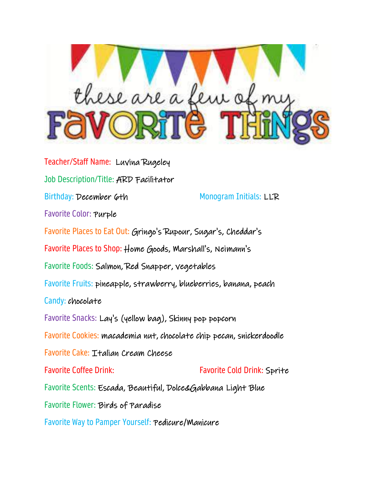

Teacher/Staff Name: Luvina Rugeley Job Description/Title: ARD Facilitator Birthday: December 6th Monogram Initials: LLR Favorite Color: Purple Favorite Places to Eat Out: Gringo's Rupour, Sugar's, Cheddar's Favorite Places to Shop: Home Goods, Marshall's, Neimann's Favorite Foods: Salmon, Red Snapper, vegetables Favorite Fruits: pineapple, strawberry, blueberries, banana, peach Candy: chocolate Favorite Snacks: Lay's (yellow bag), Skinny pop popcorn Favorite Cookies: macademia nut, chocolate chip pecan, snickerdoodle Favorite Cake: Italian Cream Cheese Favorite Coffee Drink: Favorite Cold Drink: Sprite Favorite Scents: Escada, Beautiful, Dolce&Gabbana Light Blue Favorite Flower: Birds of Paradise

Favorite Way to Pamper Yourself: Pedicure/Manicure